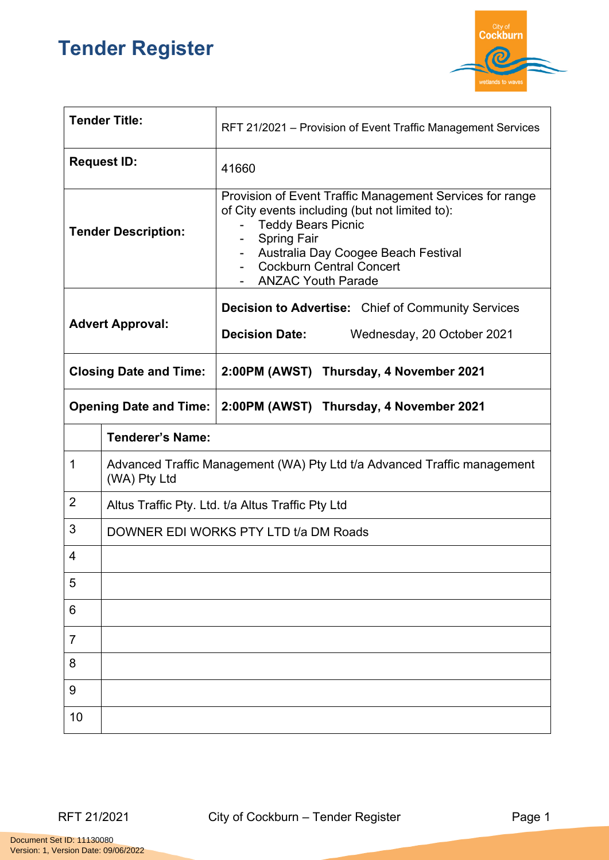## **Tender Register**



| <b>Tender Title:</b>          |                                                                                          | RFT 21/2021 – Provision of Event Traffic Management Services                                                                                                                                                                                                              |
|-------------------------------|------------------------------------------------------------------------------------------|---------------------------------------------------------------------------------------------------------------------------------------------------------------------------------------------------------------------------------------------------------------------------|
| <b>Request ID:</b>            |                                                                                          | 41660                                                                                                                                                                                                                                                                     |
| <b>Tender Description:</b>    |                                                                                          | Provision of Event Traffic Management Services for range<br>of City events including (but not limited to):<br><b>Teddy Bears Picnic</b><br><b>Spring Fair</b><br>$\sim$<br>Australia Day Coogee Beach Festival<br><b>Cockburn Central Concert</b><br>- ANZAC Youth Parade |
| <b>Advert Approval:</b>       |                                                                                          | <b>Decision to Advertise:</b> Chief of Community Services<br><b>Decision Date:</b><br>Wednesday, 20 October 2021                                                                                                                                                          |
| <b>Closing Date and Time:</b> |                                                                                          | 2:00PM (AWST) Thursday, 4 November 2021                                                                                                                                                                                                                                   |
| <b>Opening Date and Time:</b> |                                                                                          | 2:00PM (AWST) Thursday, 4 November 2021                                                                                                                                                                                                                                   |
|                               | <b>Tenderer's Name:</b>                                                                  |                                                                                                                                                                                                                                                                           |
| 1                             | Advanced Traffic Management (WA) Pty Ltd t/a Advanced Traffic management<br>(WA) Pty Ltd |                                                                                                                                                                                                                                                                           |
| $\overline{2}$                | Altus Traffic Pty. Ltd. t/a Altus Traffic Pty Ltd                                        |                                                                                                                                                                                                                                                                           |
| 3                             | DOWNER EDI WORKS PTY LTD t/a DM Roads                                                    |                                                                                                                                                                                                                                                                           |
| 4                             |                                                                                          |                                                                                                                                                                                                                                                                           |
| 5                             |                                                                                          |                                                                                                                                                                                                                                                                           |
| 6                             |                                                                                          |                                                                                                                                                                                                                                                                           |
| $\overline{7}$                |                                                                                          |                                                                                                                                                                                                                                                                           |
| 8                             |                                                                                          |                                                                                                                                                                                                                                                                           |
| 9                             |                                                                                          |                                                                                                                                                                                                                                                                           |
| 10                            |                                                                                          |                                                                                                                                                                                                                                                                           |